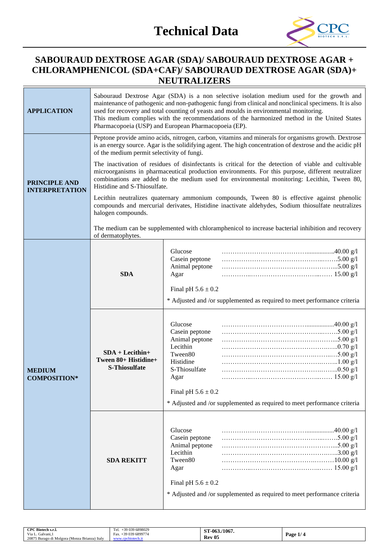

# **SABOURAUD DEXTROSE AGAR (SDA)/ SABOURAUD DEXTROSE AGAR + CHLORAMPHENICOL (SDA+CAF)/ SABOURAUD DEXTROSE AGAR (SDA)+ NEUTRALIZERS**

| <b>APPLICATION</b>                            | Sabouraud Dextrose Agar (SDA) is a non selective isolation medium used for the growth and<br>maintenance of pathogenic and non-pathogenic fungi from clinical and nonclinical specimens. It is also<br>used for recovery and total counting of yeasts and moulds in environmental monitoring.<br>This medium complies with the recommendations of the harmonized method in the United States<br>Pharmacopoeia (USP) and European Pharmacopoeia (EP). |                                                                                                                                                                                                                                                                                                                         |  |  |
|-----------------------------------------------|------------------------------------------------------------------------------------------------------------------------------------------------------------------------------------------------------------------------------------------------------------------------------------------------------------------------------------------------------------------------------------------------------------------------------------------------------|-------------------------------------------------------------------------------------------------------------------------------------------------------------------------------------------------------------------------------------------------------------------------------------------------------------------------|--|--|
|                                               | of the medium permit selectivity of fungi.                                                                                                                                                                                                                                                                                                                                                                                                           | Peptone provide amino acids, nitrogen, carbon, vitamins and minerals for organisms growth. Dextrose<br>is an energy source. Agar is the solidifying agent. The high concentration of dextrose and the acidic pH<br>The inactivation of residues of disinfectants is critical for the detection of viable and cultivable |  |  |
| <b>PRINCIPLE AND</b><br><b>INTERPRETATION</b> | Histidine and S-Thiosulfate.                                                                                                                                                                                                                                                                                                                                                                                                                         | microorganisms in pharmaceutical production environments. For this purpose, different neutralizer<br>combinations are added to the medium used for environmental monitoring: Lecithin, Tween 80,                                                                                                                        |  |  |
|                                               | halogen compounds.                                                                                                                                                                                                                                                                                                                                                                                                                                   | Lecithin neutralizes quaternary ammonium compounds, Tween 80 is effective against phenolic<br>compounds and mercurial derivates, Histidine inactivate aldehydes, Sodium thiosulfate neutralizes                                                                                                                         |  |  |
|                                               | of dermatophytes.                                                                                                                                                                                                                                                                                                                                                                                                                                    | The medium can be supplemented with chloramphenicol to increase bacterial inhibition and recovery                                                                                                                                                                                                                       |  |  |
|                                               | <b>SDA</b>                                                                                                                                                                                                                                                                                                                                                                                                                                           | Glucose<br>Casein peptone<br>Animal peptone<br>Agar<br>Final pH $5.6 \pm 0.2$                                                                                                                                                                                                                                           |  |  |
| <b>MEDIUM</b><br><b>COMPOSITION*</b>          |                                                                                                                                                                                                                                                                                                                                                                                                                                                      | * Adjusted and /or supplemented as required to meet performance criteria                                                                                                                                                                                                                                                |  |  |
|                                               | $SDA + Lecithin+$<br>Tween 80+ Histidine+<br>S-Thiosulfate                                                                                                                                                                                                                                                                                                                                                                                           | Glucose<br>Casein peptone<br>Animal peptone<br>Lecithin<br>Tween80<br>Histidine<br>S-Thiosulfate<br>Agar                                                                                                                                                                                                                |  |  |
|                                               |                                                                                                                                                                                                                                                                                                                                                                                                                                                      | Final pH $5.6 \pm 0.2$<br>* Adjusted and /or supplemented as required to meet performance criteria                                                                                                                                                                                                                      |  |  |
|                                               | <b>SDA REKITT</b>                                                                                                                                                                                                                                                                                                                                                                                                                                    | Glucose<br>Casein peptone<br>Animal peptone<br>Lecithin<br>Tween80<br>Agar<br>Final pH $5.6 \pm 0.2$                                                                                                                                                                                                                    |  |  |
|                                               |                                                                                                                                                                                                                                                                                                                                                                                                                                                      | * Adjusted and /or supplemented as required to meet performance criteria                                                                                                                                                                                                                                                |  |  |

| CPC Biotech s.r.l.<br>+39 039 6898029<br>Tel.<br>-39 039 6899774<br>Via L.<br>Galvani.<br>Fax.<br>20875 Burago di Molgora (Monza Brianza) Italy<br><b><i>ARTISTER</i></b><br><b>WWW</b> | /1067.<br>Т-063.<br>. .<br><b>Rev 05</b> | Page $1/$ |
|-----------------------------------------------------------------------------------------------------------------------------------------------------------------------------------------|------------------------------------------|-----------|
|-----------------------------------------------------------------------------------------------------------------------------------------------------------------------------------------|------------------------------------------|-----------|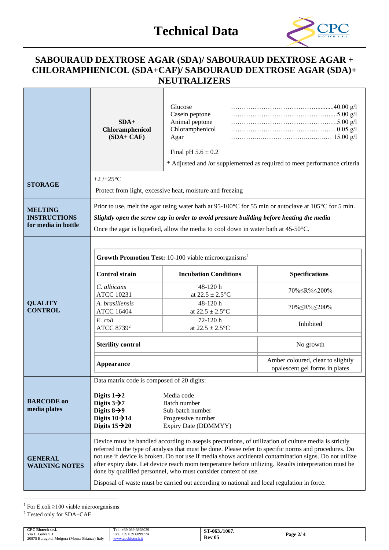

# **SABOURAUD DEXTROSE AGAR (SDA)/ SABOURAUD DEXTROSE AGAR + CHLORAMPHENICOL (SDA+CAF)/ SABOURAUD DEXTROSE AGAR (SDA)+ NEUTRALIZERS**

|                                                              | $SDA+$<br>Chloramphenicol<br>$(SDA + CAF)$                                                                                                | Glucose<br>Casein peptone<br>Animal peptone<br>Chloramphenicol<br>Agar<br>Final pH $5.6 \pm 0.2$                                                                               | * Adjusted and /or supplemented as required to meet performance criteria                                                                                                                                                                                                                                                                                                                                                        |  |
|--------------------------------------------------------------|-------------------------------------------------------------------------------------------------------------------------------------------|--------------------------------------------------------------------------------------------------------------------------------------------------------------------------------|---------------------------------------------------------------------------------------------------------------------------------------------------------------------------------------------------------------------------------------------------------------------------------------------------------------------------------------------------------------------------------------------------------------------------------|--|
| <b>STORAGE</b>                                               | $+2/+25$ °C                                                                                                                               | Protect from light, excessive heat, moisture and freezing                                                                                                                      |                                                                                                                                                                                                                                                                                                                                                                                                                                 |  |
| <b>MELTING</b><br><b>INSTRUCTIONS</b><br>for media in bottle |                                                                                                                                           | Slightly open the screw cap in order to avoid pressure building before heating the media<br>Once the agar is liquefied, allow the media to cool down in water bath at 45-50°C. | Prior to use, melt the agar using water bath at 95-100°C for 55 min or autoclave at 105°C for 5 min.                                                                                                                                                                                                                                                                                                                            |  |
|                                                              | Growth Promotion Test: 10-100 viable microorganisms <sup>1</sup>                                                                          |                                                                                                                                                                                |                                                                                                                                                                                                                                                                                                                                                                                                                                 |  |
|                                                              | <b>Control strain</b>                                                                                                                     | <b>Incubation Conditions</b>                                                                                                                                                   | <b>Specifications</b>                                                                                                                                                                                                                                                                                                                                                                                                           |  |
|                                                              | C. albicans<br><b>ATCC 10231</b>                                                                                                          | 48-120h<br>at $22.5 \pm 2.5^{\circ}C$                                                                                                                                          | 70%≤R%≤200%                                                                                                                                                                                                                                                                                                                                                                                                                     |  |
| <b>QUALITY</b><br><b>CONTROL</b>                             | A. brasiliensis<br><b>ATCC 16404</b>                                                                                                      | 48-120h<br>at $22.5 \pm 2.5^{\circ}C$                                                                                                                                          | 70%≤R%≤200%                                                                                                                                                                                                                                                                                                                                                                                                                     |  |
|                                                              | E. coli<br>ATCC 8739 <sup>2</sup>                                                                                                         | 72-120h<br>at $22.5 \pm 2.5$ °C                                                                                                                                                | Inhibited                                                                                                                                                                                                                                                                                                                                                                                                                       |  |
|                                                              | <b>Sterility control</b>                                                                                                                  |                                                                                                                                                                                | No growth                                                                                                                                                                                                                                                                                                                                                                                                                       |  |
|                                                              | <b>Appearance</b>                                                                                                                         |                                                                                                                                                                                | Amber coloured, clear to slightly<br>opalescent gel forms in plates                                                                                                                                                                                                                                                                                                                                                             |  |
|                                                              | Data matrix code is composed of 20 digits:                                                                                                |                                                                                                                                                                                |                                                                                                                                                                                                                                                                                                                                                                                                                                 |  |
| <b>BARCODE</b> on<br>media plates                            | Digits $1\rightarrow 2$<br>Digits $3\rightarrow 7$<br>Digits $8\rightarrow 9$<br>Digits $10 \rightarrow 14$<br>Digits $15 \rightarrow 20$ | Media code<br>Batch number<br>Sub-batch number<br>Progressive number<br>Expiry Date (DDMMYY)                                                                                   |                                                                                                                                                                                                                                                                                                                                                                                                                                 |  |
| <b>GENERAL</b><br><b>WARNING NOTES</b>                       |                                                                                                                                           | done by qualified personnel, who must consider context of use.                                                                                                                 | Device must be handled according to asepsis precautions, of utilization of culture media is strictly<br>referred to the type of analysis that must be done. Please refer to specific norms and procedures. Do<br>not use if device is broken. Do not use if media shows accidental contamination signs. Do not utilize<br>after expiry date. Let device reach room temperature before utilizing. Results interpretation must be |  |
|                                                              | Disposal of waste must be carried out according to national and local regulation in force.                                                |                                                                                                                                                                                |                                                                                                                                                                                                                                                                                                                                                                                                                                 |  |

<sup>1</sup> For E.coli  $\geq$ 100 viable microorganisms

<sup>2</sup> Tested only for SDA+CAF

| CPC Biotech s.r.l.                            | +39 039 6898029<br>Tel. | 1-063./1067   |                   |
|-----------------------------------------------|-------------------------|---------------|-------------------|
| Via L. Galvani,                               | +39 039 6899774<br>Fax. |               | $\sim$<br>Page 2/ |
| 20875 Burago di Molgora (Monza Brianza) Italy | cbiotech.it<br>www.cn   | <b>Rev 05</b> |                   |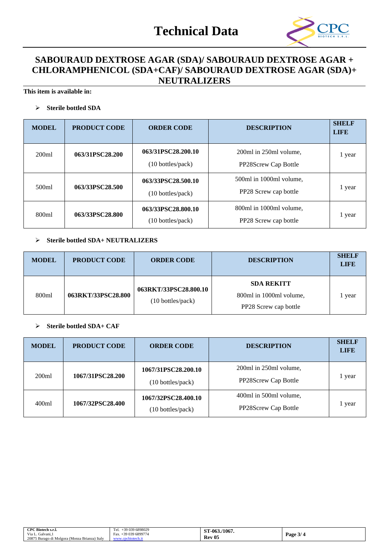# **Technical Data**



## **SABOURAUD DEXTROSE AGAR (SDA)/ SABOURAUD DEXTROSE AGAR + CHLORAMPHENICOL (SDA+CAF)/ SABOURAUD DEXTROSE AGAR (SDA)+ NEUTRALIZERS**

**This item is available in:**

#### ➢ **Sterile bottled SDA**

| <b>MODEL</b> | <b>PRODUCT CODE</b> | <b>ORDER CODE</b>                                        | <b>DESCRIPTION</b>                               | <b>SHELF</b><br><b>LIFE</b> |
|--------------|---------------------|----------------------------------------------------------|--------------------------------------------------|-----------------------------|
| 200ml        | 063/31PSC28.200     | 063/31PSC28.200.10<br>$(10 \text{ bottles}/\text{pack})$ | 200ml in 250ml volume,<br>PP28Screw Cap Bottle   | 1 year                      |
| 500ml        | 063/33PSC28.500     | 063/33PSC28.500.10<br>$(10 \text{ bottles}/\text{pack})$ | 500ml in 1000ml volume.<br>PP28 Screw cap bottle | 1 year                      |
| 800ml        | 063/33PSC28.800     | 063/33PSC28.800.10<br>(10 bottles/pack)                  | 800ml in 1000ml volume,<br>PP28 Screw cap bottle | 1 year                      |

## ➢ **Sterile bottled SDA+ NEUTRALIZERS**

| <b>MODEL</b> | <b>PRODUCT CODE</b> | <b>ORDER CODE</b>                          | <b>DESCRIPTION</b>                                                    | <b>SHELF</b><br><b>LIFE</b> |
|--------------|---------------------|--------------------------------------------|-----------------------------------------------------------------------|-----------------------------|
| 800ml        | 063RKT/33PSC28.800  | 063RKT/33PSC28.800.10<br>(10 bottles/pack) | <b>SDA REKITT</b><br>800ml in 1000ml volume,<br>PP28 Screw cap bottle | l year                      |

#### ➢ **Sterile bottled SDA+ CAF**

| <b>MODEL</b> | <b>PRODUCT CODE</b> | <b>ORDER CODE</b>                        | <b>DESCRIPTION</b>                             | <b>SHELF</b><br><b>LIFE</b> |
|--------------|---------------------|------------------------------------------|------------------------------------------------|-----------------------------|
| 200ml        | 1067/31PSC28.200    | 1067/31PSC28.200.10<br>(10 bottles/pack) | 200ml in 250ml volume,<br>PP28Screw Cap Bottle | 1 year                      |
| 400ml        | 1067/32PSC28.400    | 1067/32PSC28.400.10<br>(10 bottles/pack) | 400ml in 500ml volume,<br>PP28Screw Cap Bottle | 1 year                      |

| CPC Biotech s.r.l.                            | +39 039 6898029<br>Tel. | /1067.<br>$ST-063$ . |                   |
|-----------------------------------------------|-------------------------|----------------------|-------------------|
| Via L.<br>$\sim$ $\sim$<br>. Galvani, l       | +39 039 6899774<br>Fax. |                      | $\sim$<br>Page 3/ |
| 20875 Burago di Molgora (Monza Brianza) Italy | pcbiotech.it<br>www.    | - 05<br>Rev          |                   |